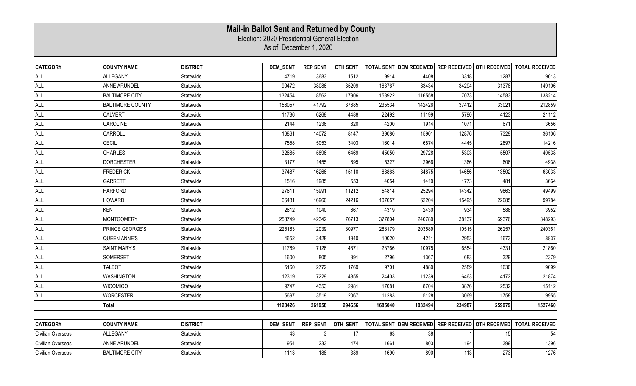## **Mail-in Ballot Sent and Returned by County**

Election: 2020 Presidential General Election

As of: December 1, 2020

| <b>CATEGORY</b>   | <b>COUNTY NAME</b>      | <b>DISTRICT</b> | <b>DEM SENT</b> | <b>REP SENT</b> |          |         |         |        |                                                   | OTH SENT   TOTAL SENT DEM RECEIVED   REP RECEIVED   OTH RECEIVED   TOTAL RECEIVED |
|-------------------|-------------------------|-----------------|-----------------|-----------------|----------|---------|---------|--------|---------------------------------------------------|-----------------------------------------------------------------------------------|
| <b>ALL</b>        | ALLEGANY                | Statewide       | 4719            | 3683            | 1512     | 9914    | 4408    | 3318   | 1287                                              | 9013                                                                              |
| <b>ALL</b>        | <b>ANNE ARUNDEL</b>     | Statewide       | 90472           | 38086           | 35209    | 163767  | 83434   | 34294  | 31378                                             | 149106                                                                            |
| <b>ALL</b>        | <b>BALTIMORE CITY</b>   | Statewide       | 132454          | 8562            | 17906    | 158922  | 116558  | 7073   | 14583                                             | 138214                                                                            |
| <b>ALL</b>        | <b>BALTIMORE COUNTY</b> | Statewide       | 156057          | 41792           | 37685    | 235534  | 142426  | 37412  | 33021                                             | 212859                                                                            |
| <b>ALL</b>        | <b>CALVERT</b>          | Statewide       | 11736           | 6268            | 4488     | 22492   | 11199   | 5790   | 4123                                              | 21112                                                                             |
| <b>ALL</b>        | CAROLINE                | Statewide       | 2144            | 1236            | 820      | 4200    | 1914    | 1071   | 671                                               | 3656                                                                              |
| <b>ALL</b>        | CARROLL                 | Statewide       | 16861           | 14072           | 8147     | 39080   | 15901   | 12876  | 7329                                              | 36106                                                                             |
| <b>ALL</b>        | <b>CECIL</b>            | Statewide       | 7558            | 5053            | 3403     | 16014   | 6874    | 4445   | 2897                                              | 14216                                                                             |
| <b>ALL</b>        | <b>CHARLES</b>          | Statewide       | 32685           | 5896            | 6469     | 45050   | 29728   | 5303   | 5507                                              | 40538                                                                             |
| <b>ALL</b>        | <b>DORCHESTER</b>       | Statewide       | 3177            | 1455            | 695      | 5327    | 2966    | 1366   | 606                                               | 4938                                                                              |
| <b>ALL</b>        | <b>FREDERICK</b>        | Statewide       | 37487           | 16266           | 15110    | 68863   | 34875   | 14656  | 13502                                             | 63033                                                                             |
| <b>ALL</b>        | <b>GARRETT</b>          | Statewide       | 1516            | 1985            | 553      | 4054    | 1410    | 1773   | 481                                               | 3664                                                                              |
| <b>ALL</b>        | <b>HARFORD</b>          | Statewide       | 27611           | 15991           | 11212    | 54814   | 25294   | 14342  | 9863                                              | 49499                                                                             |
| <b>ALL</b>        | <b>HOWARD</b>           | Statewide       | 66481           | 16960           | 24216    | 107657  | 62204   | 15495  | 22085                                             | 99784                                                                             |
| <b>ALL</b>        | <b>KENT</b>             | Statewide       | 2612            | 1040            | 667      | 4319    | 2430    | 934    | 588                                               | 3952                                                                              |
| <b>ALL</b>        | <b>MONTGOMERY</b>       | Statewide       | 258749          | 42342           | 76713    | 377804  | 240780  | 38137  | 69376                                             | 348293                                                                            |
| <b>ALL</b>        | PRINCE GEORGE'S         | Statewide       | 225163          | 12039           | 30977    | 268179  | 203589  | 10515  | 26257                                             | 240361                                                                            |
| <b>ALL</b>        | <b>QUEEN ANNE'S</b>     | Statewide       | 4652            | 3428            | 1940     | 10020   | 4211    | 2953   | 1673                                              | 8837                                                                              |
| <b>ALL</b>        | SAINT MARY'S            | Statewide       | 11769           | 7126            | 4871     | 23766   | 10975   | 6554   | 4331                                              | 21860                                                                             |
| <b>ALL</b>        | SOMERSET                | Statewide       | 1600            | 805             | 391      | 2796    | 1367    | 683    | 329                                               | 2379                                                                              |
| <b>ALL</b>        | <b>TALBOT</b>           | Statewide       | 5160            | 2772            | 1769     | 9701    | 4880    | 2589   | 1630                                              | 9099                                                                              |
| <b>ALL</b>        | <b>WASHINGTON</b>       | Statewide       | 12319           | 7229            | 4855     | 24403   | 11239   | 6463   | 4172                                              | 21874                                                                             |
| <b>ALL</b>        | <b>WICOMICO</b>         | Statewide       | 9747            | 4353            | 2981     | 17081   | 8704    | 3876   | 2532                                              | 15112                                                                             |
| <b>ALL</b>        | <b>WORCESTER</b>        | Statewide       | 5697            | 3519            | 2067     | 11283   | 5128    | 3069   | 1758                                              | 9955                                                                              |
|                   | <b>Total</b>            |                 | 1128426         | 261958          | 294656   | 1685040 | 1032494 | 234987 | 259979                                            | 1527460                                                                           |
|                   |                         |                 |                 |                 |          |         |         |        |                                                   |                                                                                   |
| <b>CATEGORY</b>   | <b>COUNTY NAME</b>      | <b>DISTRICT</b> | <b>DEM SENT</b> | <b>REP SENT</b> | OTH_SENT |         |         |        | TOTAL SENT DEM RECEIVED REP RECEIVED OTH RECEIVED | <b>TOTAL RECEIVED</b>                                                             |
| Civilian Overseas | ALLEGANY                | Statewide       | 43              |                 | 17       | 63      | 38      |        | 15                                                | 54                                                                                |
| Civilian Overseas | ANNE ARUNDEL            | Statewide       | 954             | 233             | 474      | 1661    | 803     | 194    | 399                                               | 1396                                                                              |
| Civilian Overseas | <b>BALTIMORE CITY</b>   | Statewide       | 1113            | 188             | 389      | 1690    | 890     | 113    | 273                                               | 1276                                                                              |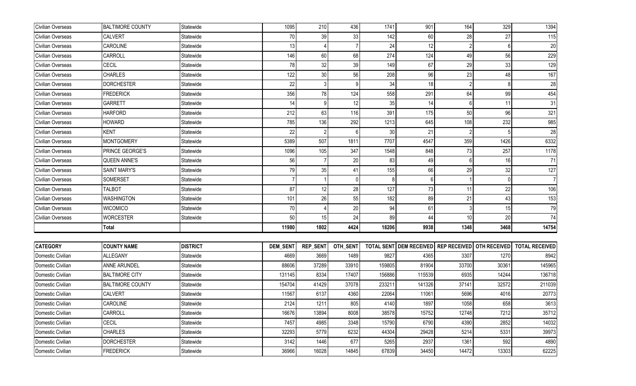| Civilian Overseas | <b>BALTIMORE COUNTY</b> | Statewide       | 1095            | 210             | 436      | 1741   | 901                                               | 164             | 329   | 1394                  |
|-------------------|-------------------------|-----------------|-----------------|-----------------|----------|--------|---------------------------------------------------|-----------------|-------|-----------------------|
| Civilian Overseas | <b>CALVERT</b>          | Statewide       | 70              | 39              | 33       | 142    | 60                                                | 28              | 27    | 115                   |
| Civilian Overseas | <b>CAROLINE</b>         | Statewide       | 13              |                 |          | 24     | 12                                                |                 |       | $20\,$                |
| Civilian Overseas | CARROLL                 | Statewide       | 146             | 60              | 68       | 274    | 124                                               | 49              | 56    | 229                   |
| Civilian Overseas | <b>CECIL</b>            | Statewide       | 78              | 32              | 39       | 149    | 67                                                | 29              | 33    | 129                   |
| Civilian Overseas | <b>CHARLES</b>          | Statewide       | 122             | 30              | 56       | 208    | 96                                                | 23              | 48    | 167                   |
| Civilian Overseas | <b>DORCHESTER</b>       | Statewide       | 22              |                 | 9        | 34     | 18                                                |                 |       | $\overline{28}$       |
| Civilian Overseas | <b>FREDERICK</b>        | Statewide       | 356             | 78              | 124      | 558    | 291                                               | 64              | 99    | 454                   |
| Civilian Overseas | GARRETT                 | Statewide       | 14              | 9               | 12       | 35     | 14                                                |                 | 11    | 31                    |
| Civilian Overseas | <b>HARFORD</b>          | Statewide       | 212             | 63              | 116      | 391    | 175                                               | 50              | 96    | 321                   |
| Civilian Overseas | <b>HOWARD</b>           | Statewide       | 785             | 136             | 292      | 1213   | 645                                               | 108             | 232   | 985                   |
| Civilian Overseas | <b>KENT</b>             | Statewide       | 22              |                 |          | 30     | 21                                                |                 |       | 28                    |
| Civilian Overseas | <b>MONTGOMERY</b>       | Statewide       | 5389            | 507             | 1811     | 7707   | 4547                                              | 359             | 1426  | 6332                  |
| Civilian Overseas | PRINCE GEORGE'S         | Statewide       | 1096            | 105             | 347      | 1548   | 848                                               | 73              | 257   | 1178                  |
| Civilian Overseas | <b>QUEEN ANNE'S</b>     | Statewide       | 56              |                 | 20       | 83     | 49                                                | 6               | 16    | 71                    |
| Civilian Overseas | <b>SAINT MARY'S</b>     | Statewide       | 79              | 35              | 41       | 155    | 66                                                | 29              | 32    | 127                   |
| Civilian Overseas | SOMERSET                | Statewide       |                 |                 | $\Omega$ |        |                                                   |                 |       | $\overline{7}$        |
| Civilian Overseas | TALBOT                  | Statewide       | 87              | 12              | 28       | 127    | 73                                                | 11              | 22    | 106                   |
| Civilian Overseas | <b>WASHINGTON</b>       | Statewide       | 101             | 26              | 55       | 182    | 89                                                | 21              | 43    | 153                   |
| Civilian Overseas | <b>WICOMICO</b>         | Statewide       | 70              |                 | 20       | 94     | 61                                                |                 | 15    | 79                    |
| Civilian Overseas | <b>WORCESTER</b>        | Statewide       | 50              | 15              | 24       | 89     | 44                                                | 10 <sup>1</sup> | 20    | 74                    |
|                   | Total                   |                 | 11980           | 1802            | 4424     | 18206  | 9938                                              | 1348            | 3468  | 14754                 |
|                   |                         |                 |                 |                 |          |        |                                                   |                 |       |                       |
| <b>CATEGORY</b>   | <b>COUNTY NAME</b>      | <b>DISTRICT</b> | <b>DEM_SENT</b> | <b>REP_SENT</b> | OTH_SENT |        | TOTAL SENT DEM RECEIVED REP RECEIVED OTH RECEIVED |                 |       | <b>TOTAL RECEIVED</b> |
| Domestic Civilian | <b>ALLEGANY</b>         | Statewide       | 4669            | 3669            | 1489     | 9827   | 4365                                              | 3307            | 1270  | 8942                  |
| Domestic Civilian | ANNE ARUNDEL            | Statewide       | 88606           | 37289           | 33910    | 159805 | 81904                                             | 33700           | 30361 | 145965                |
| Domestic Civilian | <b>BALTIMORE CITY</b>   | Statewide       | 131145          | 8334            | 17407    | 156886 | 115539                                            | 6935            | 14244 | 136718                |
| Domestic Civilian | <b>BALTIMORE COUNTY</b> | Statewide       | 154704          | 41429           | 37078    | 233211 | 141326                                            | 37141           | 32572 | 211039                |
| Domestic Civilian | <b>CALVERT</b>          | Statewide       | 11567           | 6137            | 4360     | 22064  | 11061                                             | 5696            | 4016  | 20773                 |
| Domestic Civilian | CAROLINE                | Statewide       | 2124            | 1211            | 805      | 4140   | 1897                                              | 1058            | 658   | 3613                  |
| Domestic Civilian | CARROLL                 | Statewide       | 16676           | 13894           | 8008     | 38578  | 15752                                             | 12748           | 7212  | 35712                 |
| Domestic Civilian | CECIL                   | Statewide       | 7457            | 4985            | 3348     | 15790  | 6790                                              | 4390            | 2852  | 14032                 |
| Domestic Civilian | <b>CHARLES</b>          | Statewide       | 32293           | 5779            | 6232     | 44304  | 29428                                             | 5214            | 5331  | 39973                 |
| Domestic Civilian | <b>DORCHESTER</b>       | Statewide       | 3142            | 1446            | 677      | 5265   | 2937                                              | 1361            | 592   | 4890                  |
| Domestic Civilian | <b>FREDERICK</b>        | Statewide       | 36966           | 16028           | 14845    | 67839  | 34450                                             | 14472           | 13303 | 62225                 |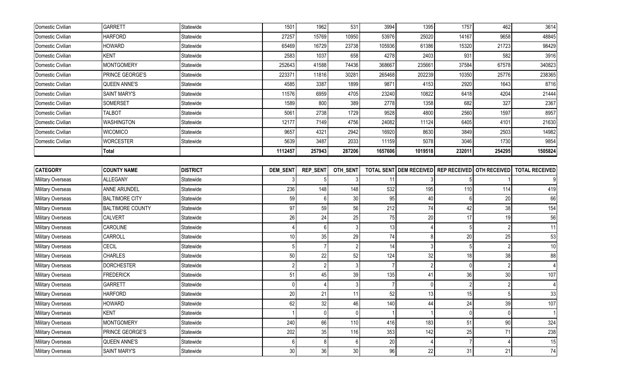| Domestic Civilian        | GARRETT                 | Statewide       | 1501     | 1962            | 531             | 3994    | 1395                           | 1757                | 462                 | 3614                  |
|--------------------------|-------------------------|-----------------|----------|-----------------|-----------------|---------|--------------------------------|---------------------|---------------------|-----------------------|
| Domestic Civilian        | <b>HARFORD</b>          | Statewide       | 27257    | 15769           | 10950           | 53976   | 25020                          | 14167               | 9658                | 48845                 |
| Domestic Civilian        | <b>HOWARD</b>           | Statewide       | 65469    | 16729           | 23738           | 105936  | 61386                          | 15320               | 21723               | 98429                 |
| Domestic Civilian        | <b>KENT</b>             | Statewide       | 2583     | 1037            | 658             | 4278    | 2403                           | 931                 | 582                 | 3916                  |
| Domestic Civilian        | <b>MONTGOMERY</b>       | Statewide       | 252643   | 41588           | 74436           | 368667  | 235661                         | 37584               | 67578               | 340823                |
| Domestic Civilian        | PRINCE GEORGE'S         | Statewide       | 223371   | 11816           | 30281           | 265468  | 202239                         | 10350               | 25776               | 238365                |
| Domestic Civilian        | <b>QUEEN ANNE'S</b>     | Statewide       | 4585     | 3387            | 1899            | 9871    | 4153                           | 2920                | 1643                | 8716                  |
| Domestic Civilian        | <b>SAINT MARY'S</b>     | Statewide       | 11576    | 6959            | 4705            | 23240   | 10822                          | 6418                | 4204                | 21444                 |
| Domestic Civilian        | SOMERSET                | Statewide       | 1589     | 800             | 389             | 2778    | 1358                           | 682                 | 327                 | 2367                  |
| Domestic Civilian        | <b>TALBOT</b>           | Statewide       | 5061     | 2738            | 1729            | 9528    | 4800                           | 2560                | 1597                | 8957                  |
| Domestic Civilian        | <b>WASHINGTON</b>       | Statewide       | 12177    | 7149            | 4756            | 24082   | 11124                          | 6405                | 4101                | 21630                 |
| Domestic Civilian        | <b>WICOMICO</b>         | Statewide       | 9657     | 4321            | 2942            | 16920   | 8630                           | 3849                | 2503                | 14982                 |
| Domestic Civilian        | <b>WORCESTER</b>        | Statewide       | 5639     | 3487            | 2033            | 11159   | 5078                           | 3046                | 1730                | 9854                  |
|                          | Total                   |                 | 1112457  | 257943          | 287206          | 1657606 | 1019518                        | 232011              | 254295              | 1505824               |
|                          |                         |                 |          |                 |                 |         |                                |                     |                     |                       |
| <b>CATEGORY</b>          | <b>COUNTY NAME</b>      | <b>DISTRICT</b> | DEM_SEN1 | <b>REP_SENT</b> | OTH_SENT        |         | <b>TOTAL SENT DEM RECEIVED</b> | <b>REP RECEIVED</b> | <b>OTH RECEIVED</b> | <b>TOTAL RECEIVED</b> |
| Military Overseas        | ALLEGANY                | Statewide       |          |                 | 3               | 11      |                                |                     |                     |                       |
| Military Overseas        | ANNE ARUNDEL            | Statewide       | 236      | 148             | 148             | 532     | 195                            | 110                 | 114                 | 419                   |
| <b>Military Overseas</b> | <b>BALTIMORE CITY</b>   | Statewide       | 59       | 6               | 30 <sup>°</sup> | 95      | 40                             |                     | 20                  | 66                    |
| Military Overseas        | <b>BALTIMORE COUNTY</b> | Statewide       | 97       | 59              | 56              | 212     | 74                             | 42                  | 38                  | 154                   |
| Military Overseas        | <b>CALVERT</b>          | Statewide       | 26       | 24              | 25              | 75      | 20                             | 17                  | 19                  | 56                    |
| Military Overseas        | CAROLINE                | Statewide       |          | 6               | 3               | 13      |                                |                     |                     | 11                    |
| Military Overseas        | CARROLL                 | Statewide       | 10       | 35              | 29              | 74      | 8                              | 20                  | 25                  | 53                    |
| Military Overseas        | CECIL                   | Statewide       |          |                 | $\mathfrak{p}$  | 14      |                                |                     |                     | 10                    |
| Military Overseas        | <b>CHARLES</b>          | Statewide       | 50       | 22              | 52              | 124     | 32                             | 18                  | 38                  | 88                    |
| Military Overseas        | <b>DORCHESTER</b>       | Statewide       |          |                 | 3               |         |                                | $\Omega$            |                     |                       |
| <b>Military Overseas</b> | <b>FREDERICK</b>        | Statewide       | 51       | 45              | 39              | 135     | 41                             | 36                  | 30                  | 107                   |
| <b>Military Overseas</b> | <b>GARRETT</b>          | Statewide       | $\Omega$ |                 | 3               |         |                                |                     |                     |                       |
| <b>Military Overseas</b> | <b>HARFORD</b>          | Statewide       | 20       | 21              | 11              | 52      | 13                             | 15                  |                     | 33                    |
| Military Overseas        | <b>HOWARD</b>           | Statewide       | 62       | 32              | 46              | 140     | 44                             | 24                  | 39                  | 107                   |
| Military Overseas        | <b>KENT</b>             | Statewide       |          | $\Omega$        | $\overline{0}$  |         |                                | $\Omega$            | $\Omega$            |                       |
| Military Overseas        | <b>MONTGOMERY</b>       | Statewide       | 240      | 66              | 110             | 416     | 183                            | 51                  | $90\,$              | 324                   |
| Military Overseas        | PRINCE GEORGE'S         | Statewide       | 202      | 35              | 116             | 353     | 142                            | 25                  | 71                  | 238                   |
| Military Overseas        | <b>QUEEN ANNE'S</b>     | Statewide       | 6        | 8               | 6 <sup>1</sup>  | 20      |                                |                     |                     | 15                    |
| Military Overseas        | <b>SAINT MARY'S</b>     | Statewide       | $30\,$   | 36              | 30              | 96      | 22                             | 31                  | 21                  | 74                    |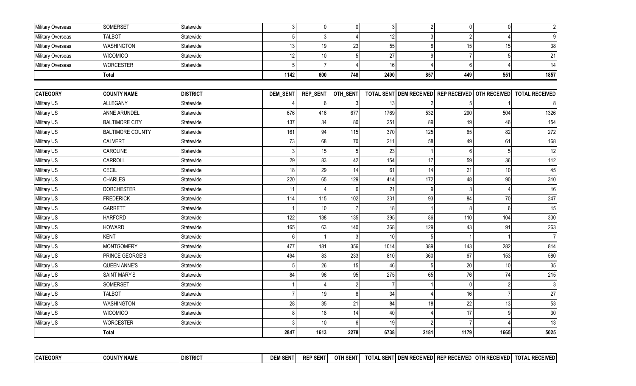| Military Overseas | SOMERSET                | Statewide       | 3        | $\mathbf 0$     | $\overline{0}$ | 3 <sup>1</sup> |              | $\overline{0}$                       | $\overline{0}$ | $\overline{2}$        |
|-------------------|-------------------------|-----------------|----------|-----------------|----------------|----------------|--------------|--------------------------------------|----------------|-----------------------|
| Military Overseas | <b>TALBOT</b>           | Statewide       | 5        |                 |                | 12             |              | $\mathfrak{p}$                       |                | 9                     |
| Military Overseas | <b>WASHINGTON</b>       | Statewide       | 13       | 19              | 23             | 55             |              | 15                                   | 15             | 38                    |
| Military Overseas | <b>WICOMICO</b>         | Statewide       | 12       | 10              | 5              | 27             | $\mathsf{Q}$ |                                      |                | 21                    |
| Military Overseas | <b>WORCESTER</b>        | Statewide       | 5        | $\overline{7}$  |                | 16             |              | $6 \mid$                             |                | 14                    |
|                   | Total                   |                 | 1142     | 600             | 748            | 2490           | 857          | 449                                  | 551            | 1857                  |
|                   |                         |                 |          |                 |                |                |              |                                      |                |                       |
| <b>CATEGORY</b>   | <b>COUNTY NAME</b>      | <b>DISTRICT</b> | DEM_SEN1 | <b>REP_SENT</b> | OTH_SENT       |                |              | TOTAL SENT DEM RECEIVED REP RECEIVED | OTH RECEIVED   | <b>TOTAL RECEIVED</b> |
| Military US       | <b>ALLEGANY</b>         | Statewide       |          | 6               | 3              | 13             |              |                                      |                |                       |
| Military US       | ANNE ARUNDEL            | Statewide       | 676      | 416             | 677            | 1769           | 532          | 290                                  | 504            | 1326                  |
| Military US       | <b>BALTIMORE CITY</b>   | Statewide       | 137      | 34              | 80             | 251            | 89           | 19                                   | 46             | 154                   |
| Military US       | <b>BALTIMORE COUNTY</b> | Statewide       | 161      | 94              | 115            | 370            | 125          | 65                                   | 82             | 272                   |
| Military US       | CALVERT                 | Statewide       | 73       | 68              | 70             | 211            | 58           | 49                                   | 61             | 168                   |
| Military US       | CAROLINE                | Statewide       | 3        | 15              | 5              | 23             |              | 6 <sup>1</sup>                       |                | 12                    |
| Military US       | CARROLL                 | Statewide       | 29       | 83              | 42             | 154            | 17           | 59                                   | 36             | 112                   |
| Military US       | CECIL                   | Statewide       | 18       | 29              | 14             | 61             | 14           | 21                                   | 10             | 45                    |
| Military US       | <b>CHARLES</b>          | Statewide       | 220      | 65              | 129            | 414            | 172          | 48                                   | 90             | 310                   |
| Military US       | <b>DORCHESTER</b>       | Statewide       | 11       |                 | $\mathsf{R}$   | 21             |              |                                      |                | 16                    |
| Military US       | <b>FREDERICK</b>        | Statewide       | 114      | 115             | 102            | 331            | 93           | 84                                   | 70             | 247                   |
| Military US       | <b>GARRETT</b>          | Statewide       |          | 10              |                | 18             |              | 8 <sup>1</sup>                       |                | 15                    |
| Military US       | <b>HARFORD</b>          | Statewide       | 122      | 138             | 135            | 395            | 86           | 110                                  | 104            | 300                   |
| Military US       | <b>HOWARD</b>           | Statewide       | 165      | 63              | 140            | 368            | 129          | 43                                   | 91             | 263                   |
| Military US       | <b>KENT</b>             | Statewide       | 6        |                 | 3              | 10             |              |                                      |                | $\overline{7}$        |
| Military US       | <b>MONTGOMERY</b>       | Statewide       | 477      | 181             | 356            | 1014           | 389          | 143                                  | 282            | 814                   |
| Military US       | PRINCE GEORGE'S         | Statewide       | 494      | 83              | 233            | 810            | 360          | 67                                   | 153            | 580                   |
| Military US       | <b>QUEEN ANNE'S</b>     | Statewide       | .5       | 26              | 15             | 46             |              | 20 <sup>°</sup>                      | 10             | 35                    |
| Military US       | <b>SAINT MARY'S</b>     | Statewide       | 84       | 96              | 95             | 275            | 65           | 76                                   | 74             | 215                   |
| Military US       | SOMERSET                | Statewide       |          |                 | $\overline{2}$ |                |              | $\overline{0}$                       |                | $\overline{3}$        |
| Military US       | <b>TALBOT</b>           | Statewide       |          | 19              | 8              | 34             |              | 16                                   |                | 27                    |
| Military US       | <b>WASHINGTON</b>       | Statewide       | 28       | 35              | 21             | 84             | 18           | 22                                   | 13             | 53                    |
| Military US       | <b>WICOMICO</b>         | Statewide       |          | 18              | 14             | 40             |              | 17                                   |                | 30                    |
| Military US       | <b>WORCESTER</b>        | Statewide       |          | 10              | 6              | 19             |              |                                      |                | 13                    |
|                   | Total                   |                 | 2847     | 1613            | 2278           | 6738           | 2181         | 1179                                 | 1665           | 5025                  |

| <b>CATEGORY</b> | <b>COUNTY NAME</b> | <b>IDISTRICT</b> | <b>DEM SENTI</b> | DED CENT<br>ENI.<br><b>REF</b> | <b>OTH SENT</b> | TOTAL | L SENTI DEM RECEIVEDI REP RECEIVEDI OTH RECEIVEDI 1 |  | <b>RECEIVED</b><br>' TOTAL |
|-----------------|--------------------|------------------|------------------|--------------------------------|-----------------|-------|-----------------------------------------------------|--|----------------------------|
|                 |                    |                  |                  |                                |                 |       |                                                     |  |                            |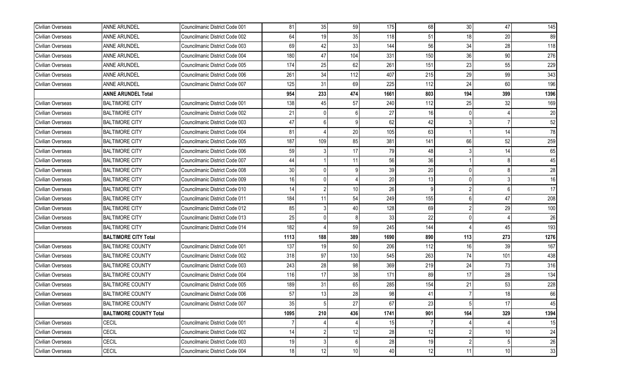| Civilian Overseas | ANNE ARUNDEL                  | Councilmanic District Code 001 | 81   | 35             | 59  | 175  | 68  | 30  | 47  | 145  |
|-------------------|-------------------------------|--------------------------------|------|----------------|-----|------|-----|-----|-----|------|
| Civilian Overseas | ANNE ARUNDEL                  | Councilmanic District Code 002 | 64   | 19             | 35  | 118  | 51  | 18  | 20  | 89   |
| Civilian Overseas | ANNE ARUNDEL                  | Councilmanic District Code 003 | 69   | 42             | 33  | 144  | 56  | 34  | 28  | 118  |
| Civilian Overseas | ANNE ARUNDEL                  | Councilmanic District Code 004 | 180  | 47             | 104 | 331  | 150 | 36  | 90  | 276  |
| Civilian Overseas | ANNE ARUNDEL                  | Councilmanic District Code 005 | 174  | 25             | 62  | 261  | 151 | 23  | 55  | 229  |
| Civilian Overseas | ANNE ARUNDEL                  | Councilmanic District Code 006 | 261  | 34             | 112 | 407  | 215 | 29  | 99  | 343  |
| Civilian Overseas | ANNE ARUNDEL                  | Councilmanic District Code 007 | 125  | 31             | 69  | 225  | 112 | 24  | 60  | 196  |
|                   | <b>ANNE ARUNDEL Total</b>     |                                | 954  | 233            | 474 | 1661 | 803 | 194 | 399 | 1396 |
| Civilian Overseas | <b>BALTIMORE CITY</b>         | Councilmanic District Code 001 | 138  | 45             | 57  | 240  | 112 | 25  | 32  | 169  |
| Civilian Overseas | <b>BALTIMORE CITY</b>         | Councilmanic District Code 002 | 21   |                |     | 27   | 16  |     |     | 20   |
| Civilian Overseas | <b>BALTIMORE CITY</b>         | Councilmanic District Code 003 | 47   |                |     | 62   | 42  |     |     | 52   |
| Civilian Overseas | <b>BALTIMORE CITY</b>         | Councilmanic District Code 004 | 81   |                | 20  | 105  | 63  |     | 14  | 78   |
| Civilian Overseas | <b>BALTIMORE CITY</b>         | Councilmanic District Code 005 | 187  | 109            | 85  | 381  | 141 | 66  | 52  | 259  |
| Civilian Overseas | <b>BALTIMORE CITY</b>         | Councilmanic District Code 006 | 59   |                | 17  | 79   | 48  |     | 14  | 65   |
| Civilian Overseas | <b>BALTIMORE CITY</b>         | Councilmanic District Code 007 | 44   |                | 11  | 56   | 36  |     |     | 45   |
| Civilian Overseas | <b>BALTIMORE CITY</b>         | Councilmanic District Code 008 | 30   |                |     | 39   | 20  |     |     | 28   |
| Civilian Overseas | <b>BALTIMORE CITY</b>         | Councilmanic District Code 009 | 16   |                |     | 20   | 13  |     |     | 16   |
| Civilian Overseas | <b>BALTIMORE CITY</b>         | Councilmanic District Code 010 | 14   |                | 10  | 26   | -9  |     | 6   | 17   |
| Civilian Overseas | <b>BALTIMORE CITY</b>         | Councilmanic District Code 011 | 184  | 11             | 54  | 249  | 155 |     | 47  | 208  |
| Civilian Overseas | <b>BALTIMORE CITY</b>         | Councilmanic District Code 012 | 85   |                | 40  | 128  | 69  |     | 29  | 100  |
| Civilian Overseas | <b>BALTIMORE CITY</b>         | Councilmanic District Code 013 | 25   |                |     | 33   | 22  |     |     | 26   |
| Civilian Overseas | <b>BALTIMORE CITY</b>         | Councilmanic District Code 014 | 182  |                | 59  | 245  | 144 |     | 45  | 193  |
|                   | <b>BALTIMORE CITY Total</b>   |                                | 1113 | 188            | 389 | 1690 | 890 | 113 | 273 | 1276 |
| Civilian Overseas | <b>BALTIMORE COUNTY</b>       | Councilmanic District Code 001 | 137  | 19             | 50  | 206  | 112 | 16  | 39  | 167  |
| Civilian Overseas | <b>BALTIMORE COUNTY</b>       | Councilmanic District Code 002 | 318  | 97             | 130 | 545  | 263 | 74  | 101 | 438  |
| Civilian Overseas | <b>BALTIMORE COUNTY</b>       | Councilmanic District Code 003 | 243  | 28             | 98  | 369  | 219 | 24  | 73  | 316  |
| Civilian Overseas | <b>BALTIMORE COUNTY</b>       | Councilmanic District Code 004 | 116  | 17             | 38  | 171  | 89  | 17  | 28  | 134  |
| Civilian Overseas | <b>BALTIMORE COUNTY</b>       | Councilmanic District Code 005 | 189  | 31             | 65  | 285  | 154 | 21  | 53  | 228  |
| Civilian Overseas | <b>BALTIMORE COUNTY</b>       | Councilmanic District Code 006 | 57   | 13             | 28  | 98   | 41  |     | 18  | 66   |
| Civilian Overseas | <b>BALTIMORE COUNTY</b>       | Councilmanic District Code 007 | 35   |                | 27  | 67   | 23  |     | 17  | 45   |
|                   | <b>BALTIMORE COUNTY Total</b> |                                | 1095 | 210            | 436 | 1741 | 901 | 164 | 329 | 1394 |
| Civilian Overseas | <b>CECIL</b>                  | Councilmanic District Code 001 |      |                |     | 15   | -7  |     |     | 15   |
| Civilian Overseas | CECIL                         | Councilmanic District Code 002 | 14   | $\overline{2}$ | 12  | 28   | 12  |     | 10  | 24   |
| Civilian Overseas | CECIL                         | Councilmanic District Code 003 | 19   | 3              | 6   | 28   | 19  |     | 5   | 26   |
| Civilian Overseas | CECIL                         | Councilmanic District Code 004 | 18   | 12             | 10  | 40   | 12  | 11  | 10  | 33   |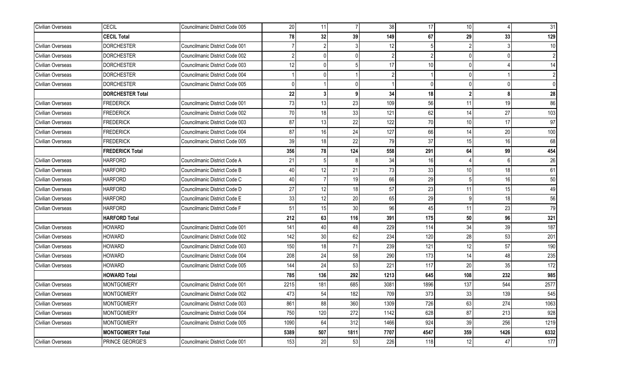| Civilian Overseas        | CECIL                   | Councilmanic District Code 005 | 20   | 11             | $\overline{7}$ | 38             | 17             | 10              |          | 31         |
|--------------------------|-------------------------|--------------------------------|------|----------------|----------------|----------------|----------------|-----------------|----------|------------|
|                          | <b>CECIL Total</b>      |                                | 78   | 32             | 39             | 149            | 67             | 29              | 33       | 129        |
| Civilian Overseas        | <b>DORCHESTER</b>       | Councilmanic District Code 001 |      | $\mathfrak{p}$ |                | 12             |                |                 |          | 10         |
| Civilian Overseas        | <b>DORCHESTER</b>       | Councilmanic District Code 002 | 2    | 0              | U.             | $\mathfrak{p}$ | $\overline{2}$ | $\overline{0}$  | $\Omega$ | $\vert$ 2  |
| Civilian Overseas        | <b>DORCHESTER</b>       | Councilmanic District Code 003 | 12   | <sup>0</sup>   | 5              | 17             | 10             | $\overline{0}$  |          | 14         |
| Civilian Overseas        | DORCHESTER              | Councilmanic District Code 004 |      |                |                |                |                | $\overline{0}$  |          |            |
| <b>Civilian Overseas</b> | DORCHESTER              | Councilmanic District Code 005 |      |                |                |                | $\Omega$       | $\Omega$        | 0        | 0          |
|                          | <b>DORCHESTER Total</b> |                                | 22   | 3 <sup>1</sup> | 9 <sub>l</sub> | 34             | 18             | $\overline{2}$  | ጸ        | ${\bf 28}$ |
| Civilian Overseas        | <b>FREDERICK</b>        | Councilmanic District Code 001 | 73   | 13             | 23             | 109            | 56             | 11              | 19       | 86         |
| Civilian Overseas        | <b>FREDERICK</b>        | Councilmanic District Code 002 | 70   | 18             | 33             | 121            | 62             | 14              | 27       | 103        |
| <b>Civilian Overseas</b> | <b>FREDERICK</b>        | Councilmanic District Code 003 | 87   | 13             | 22             | 122            | 70             | 10 <sup>1</sup> | 17       | 97         |
| <b>Civilian Overseas</b> | <b>FREDERICK</b>        | Councilmanic District Code 004 | 87   | 16             | 24             | 127            | 66             | 14              | 20       | 100        |
| Civilian Overseas        | <b>FREDERICK</b>        | Councilmanic District Code 005 | 39   | 18             | 22             | 79             | 37             | 15              | 16       | 68         |
|                          | <b>FREDERICK Total</b>  |                                | 356  | 78             | 124            | 558            | 291            | 64              | 99       | 454        |
| Civilian Overseas        | <b>HARFORD</b>          | Councilmanic District Code A   | 21   | 5 <sub>l</sub> |                | 34             | 16             |                 | 6        | 26         |
| <b>Civilian Overseas</b> | <b>HARFORD</b>          | Councilmanic District Code B   | 40   | 12             | 21             | 73             | 33             | 10              | 18       | 61         |
| <b>Civilian Overseas</b> | HARFORD                 | Councilmanic District Code C   | 40   | $\overline{7}$ | 19             | 66             | 29             | 5               | 16       | 50         |
| Civilian Overseas        | <b>HARFORD</b>          | Councilmanic District Code D   | 27   | 12             | 18             | 57             | 23             | 11              | 15       | 49         |
| Civilian Overseas        | <b>HARFORD</b>          | Councilmanic District Code E   | 33   | 12             | 20             | 65             | 29             | $\overline{9}$  | 18       | 56         |
| Civilian Overseas        | <b>HARFORD</b>          | Councilmanic District Code F   | 51   | 15             | 30             | 96             | 45             | 11              | 23       | 79         |
|                          | <b>HARFORD Total</b>    |                                | 212  | 63             | 116            | 391            | 175            | 50              | 96       | 321        |
| Civilian Overseas        | HOWARD                  | Councilmanic District Code 001 | 141  | 40             | 48             | 229            | 114            | 34              | 39       | 187        |
| Civilian Overseas        | HOWARD                  | Councilmanic District Code 002 | 142  | 30             | 62             | 234            | 120            | 28              | 53       | 201        |
| Civilian Overseas        | <b>HOWARD</b>           | Councilmanic District Code 003 | 150  | 18             | 71             | 239            | 121            | 12              | 57       | 190        |
| Civilian Overseas        | HOWARD                  | Councilmanic District Code 004 | 208  | 24             | 58             | 290            | 173            | 14              | 48       | 235        |
| Civilian Overseas        | HOWARD                  | Councilmanic District Code 005 | 144  | 24             | 53             | 221            | 117            | 20              | 35       | 172        |
|                          | <b>HOWARD Total</b>     |                                | 785  | 136            | 292            | 1213           | 645            | 108             | 232      | 985        |
| Civilian Overseas        | MONTGOMERY              | Councilmanic District Code 001 | 2215 | 181            | 685            | 3081           | 1896           | 137             | 544      | 2577       |
| Civilian Overseas        | MONTGOMERY              | Councilmanic District Code 002 | 473  | 54             | 182            | 709            | 373            | 33              | 139      | 545        |
| Civilian Overseas        | <b>MONTGOMERY</b>       | Councilmanic District Code 003 | 861  | 88             | 360            | 1309           | 726            | 63              | 274      | 1063       |
| Civilian Overseas        | MONTGOMERY              | Councilmanic District Code 004 | 750  | 120            | 272            | 1142           | 628            | 87              | 213      | 928        |
| Civilian Overseas        | MONTGOMERY              | Councilmanic District Code 005 | 1090 | 64             | 312            | 1466           | 924            | 39              | 256      | 1219       |
|                          | <b>MONTGOMERY Total</b> |                                | 5389 | 507            | 1811           | 7707           | 4547           | 359             | 1426     | 6332       |
| Civilian Overseas        | PRINCE GEORGE'S         | Councilmanic District Code 001 | 153  | 20             | 53             | 226            | 118            | 12              | 47       | 177        |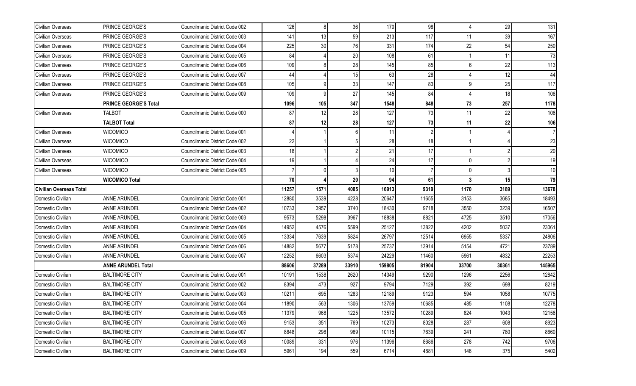| Civilian Overseas              | PRINCE GEORGE'S              | Councilmanic District Code 002 | 126   | 8 <sup>1</sup>  | 36    | 170    | 98    |       | 29    | 131    |
|--------------------------------|------------------------------|--------------------------------|-------|-----------------|-------|--------|-------|-------|-------|--------|
| Civilian Overseas              | PRINCE GEORGE'S              | Councilmanic District Code 003 | 141   | 13              | 59    | 213    | 117   | 11    | 39    | 167    |
| Civilian Overseas              | PRINCE GEORGE'S              | Councilmanic District Code 004 | 225   | 30 <sup>1</sup> | 76    | 331    | 174   | 22    | 54    | 250    |
| Civilian Overseas              | PRINCE GEORGE'S              | Councilmanic District Code 005 | 84    |                 | 20    | 108    | 61    |       | 11    | 73     |
| Civilian Overseas              | <b>PRINCE GEORGE'S</b>       | Councilmanic District Code 006 | 109   |                 | 28    | 145    | 85    |       | 22    | 113    |
| Civilian Overseas              | <b>PRINCE GEORGE'S</b>       | Councilmanic District Code 007 | 44    |                 | 15    | 63     | 28    |       | 12    | 44     |
| Civilian Overseas              | PRINCE GEORGE'S              | Councilmanic District Code 008 | 105   |                 | 33    | 147    | 83    |       | 25    | 117    |
| Civilian Overseas              | <b>PRINCE GEORGE'S</b>       | Councilmanic District Code 009 | 109   | 9               | 27    | 145    | 84    |       | 18    | 106    |
|                                | <b>PRINCE GEORGE'S Total</b> |                                | 1096  | 105             | 347   | 1548   | 848   | 73    | 257   | 1178   |
| Civilian Overseas              | <b>TALBOT</b>                | Councilmanic District Code 000 | 87    | 12              | 28    | 127    | 73    | 11    | 22    | 106    |
|                                | <b>TALBOT Total</b>          |                                | 87    | 12              | 28    | 127    | 73    | 11    | 22    | 106    |
| Civilian Overseas              | <b>WICOMICO</b>              | Councilmanic District Code 001 |       |                 |       | 11     |       |       |       |        |
| Civilian Overseas              | <b>WICOMICO</b>              | Councilmanic District Code 002 | 22    |                 |       | 28     | 18    |       |       | 23     |
| Civilian Overseas              | <b>WICOMICO</b>              | Councilmanic District Code 003 | 18    |                 |       | 21     | 17    |       |       | 20     |
| Civilian Overseas              | <b>WICOMICO</b>              | Councilmanic District Code 004 | 19    |                 |       | 24     | 17    | n     |       | 19     |
| Civilian Overseas              | <b>WICOMICO</b>              | Councilmanic District Code 005 |       |                 |       | 10     |       |       |       | 10     |
|                                | <b>WICOMICO Total</b>        |                                | 70    |                 | 20    | 94     | 61    |       | 15    | 79     |
| <b>Civilian Overseas Total</b> |                              |                                | 11257 | 1571            | 4085  | 16913  | 9319  | 1170  | 3189  | 13678  |
| Domestic Civilian              | <b>ANNE ARUNDEL</b>          | Councilmanic District Code 001 | 12880 | 3539            | 4228  | 20647  | 11655 | 3153  | 3685  | 18493  |
| Domestic Civilian              | <b>ANNE ARUNDEL</b>          | Councilmanic District Code 002 | 10733 | 3957            | 3740  | 18430  | 9718  | 3550  | 3239  | 16507  |
| Domestic Civilian              | <b>ANNE ARUNDEL</b>          | Councilmanic District Code 003 | 9573  | 5298            | 3967  | 18838  | 8821  | 4725  | 3510  | 17056  |
| Domestic Civilian              | ANNE ARUNDEL                 | Councilmanic District Code 004 | 14952 | 4576            | 5599  | 25127  | 13822 | 4202  | 5037  | 23061  |
| Domestic Civilian              | ANNE ARUNDEL                 | Councilmanic District Code 005 | 13334 | 7639            | 5824  | 26797  | 12514 | 6955  | 5337  | 24806  |
| Domestic Civilian              | ANNE ARUNDEL                 | Councilmanic District Code 006 | 14882 | 5677            | 5178  | 25737  | 13914 | 5154  | 4721  | 23789  |
| Domestic Civilian              | <b>ANNE ARUNDEL</b>          | Councilmanic District Code 007 | 12252 | 6603            | 5374  | 24229  | 11460 | 5961  | 4832  | 22253  |
|                                | <b>ANNE ARUNDEL Total</b>    |                                | 88606 | 37289           | 33910 | 159805 | 81904 | 33700 | 30361 | 145965 |
| Domestic Civilian              | <b>BALTIMORE CITY</b>        | Councilmanic District Code 001 | 10191 | 1538            | 2620  | 14349  | 9290  | 1296  | 2256  | 12842  |
| Domestic Civilian              | <b>BALTIMORE CITY</b>        | Councilmanic District Code 002 | 8394  | 473             | 927   | 9794   | 7129  | 392   | 698   | 8219   |
| Domestic Civilian              | <b>BALTIMORE CITY</b>        | Councilmanic District Code 003 | 10211 | 695             | 1283  | 12189  | 9123  | 594   | 1058  | 10775  |
| Domestic Civilian              | <b>BALTIMORE CITY</b>        | Councilmanic District Code 004 | 11890 | 563             | 1306  | 13759  | 10685 | 485   | 1108  | 12278  |
| Domestic Civilian              | <b>BALTIMORE CITY</b>        | Councilmanic District Code 005 | 11379 | 968             | 1225  | 13572  | 10289 | 824   | 1043  | 12156  |
| Domestic Civilian              | <b>BALTIMORE CITY</b>        | Councilmanic District Code 006 | 9153  | 351             | 769   | 10273  | 8028  | 287   | 608   | 8923   |
| Domestic Civilian              | <b>BALTIMORE CITY</b>        | Councilmanic District Code 007 | 8848  | 298             | 969   | 10115  | 7639  | 241   | 780   | 8660   |
| Domestic Civilian              | <b>BALTIMORE CITY</b>        | Councilmanic District Code 008 | 10089 | 331             | 976   | 11396  | 8686  | 278   | 742   | 9706   |
| Domestic Civilian              | <b>BALTIMORE CITY</b>        | Councilmanic District Code 009 | 5961  | 194             | 559   | 6714   | 4881  | 146   | 375   | 5402   |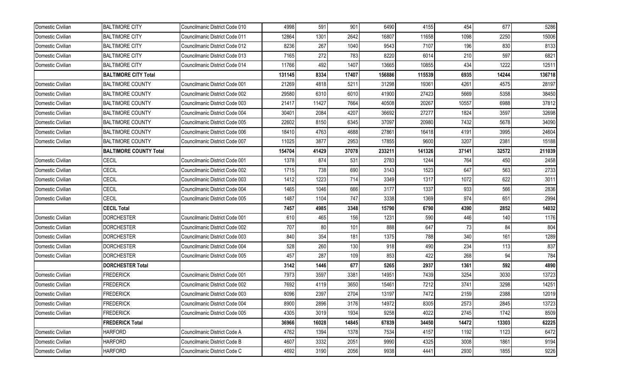| Domestic Civilian | <b>BALTIMORE CITY</b>         | Councilmanic District Code 010 | 4998   | 591   | 901   | 6490   | 4155   | 454   | 677   | 5286   |
|-------------------|-------------------------------|--------------------------------|--------|-------|-------|--------|--------|-------|-------|--------|
| Domestic Civilian | <b>BALTIMORE CITY</b>         | Councilmanic District Code 011 | 12864  | 1301  | 2642  | 16807  | 11658  | 1098  | 2250  | 15006  |
| Domestic Civilian | <b>BALTIMORE CITY</b>         | Councilmanic District Code 012 | 8236   | 267   | 1040  | 9543   | 7107   | 196   | 830   | 8133   |
| Domestic Civilian | <b>BALTIMORE CITY</b>         | Councilmanic District Code 013 | 7165   | 272   | 783   | 8220   | 6014   | 210   | 597   | 6821   |
| Domestic Civilian | <b>BALTIMORE CITY</b>         | Councilmanic District Code 014 | 11766  | 492   | 1407  | 13665  | 10855  | 434   | 1222  | 12511  |
|                   | <b>BALTIMORE CITY Total</b>   |                                | 131145 | 8334  | 17407 | 156886 | 115539 | 6935  | 14244 | 136718 |
| Domestic Civilian | <b>BALTIMORE COUNTY</b>       | Councilmanic District Code 001 | 21269  | 4818  | 5211  | 31298  | 19361  | 4261  | 4575  | 28197  |
| Domestic Civilian | <b>BALTIMORE COUNTY</b>       | Councilmanic District Code 002 | 29580  | 6310  | 6010  | 41900  | 27423  | 5669  | 5358  | 38450  |
| Domestic Civilian | <b>BALTIMORE COUNTY</b>       | Councilmanic District Code 003 | 21417  | 11427 | 7664  | 40508  | 20267  | 10557 | 6988  | 37812  |
| Domestic Civilian | <b>BALTIMORE COUNTY</b>       | Councilmanic District Code 004 | 30401  | 2084  | 4207  | 36692  | 27277  | 1824  | 3597  | 32698  |
| Domestic Civilian | <b>BALTIMORE COUNTY</b>       | Councilmanic District Code 005 | 22602  | 8150  | 6345  | 37097  | 20980  | 7432  | 5678  | 34090  |
| Domestic Civilian | <b>BALTIMORE COUNTY</b>       | Councilmanic District Code 006 | 18410  | 4763  | 4688  | 27861  | 16418  | 4191  | 3995  | 24604  |
| Domestic Civilian | <b>BALTIMORE COUNTY</b>       | Councilmanic District Code 007 | 11025  | 3877  | 2953  | 17855  | 9600   | 3207  | 2381  | 15188  |
|                   | <b>BALTIMORE COUNTY Total</b> |                                | 154704 | 41429 | 37078 | 233211 | 141326 | 37141 | 32572 | 211039 |
| Domestic Civilian | <b>CECIL</b>                  | Councilmanic District Code 001 | 1378   | 874   | 531   | 2783   | 1244   | 764   | 450   | 2458   |
| Domestic Civilian | <b>CECIL</b>                  | Councilmanic District Code 002 | 1715   | 738   | 690   | 3143   | 1523   | 647   | 563   | 2733   |
| Domestic Civilian | <b>CECIL</b>                  | Councilmanic District Code 003 | 1412   | 1223  | 714   | 3349   | 1317   | 1072  | 622   | 3011   |
| Domestic Civilian | CECIL                         | Councilmanic District Code 004 | 1465   | 1046  | 666   | 3177   | 1337   | 933   | 566   | 2836   |
| Domestic Civilian | <b>CECIL</b>                  | Councilmanic District Code 005 | 1487   | 1104  | 747   | 3338   | 1369   | 974   | 651   | 2994   |
|                   | <b>CECIL Total</b>            |                                | 7457   | 4985  | 3348  | 15790  | 6790   | 4390  | 2852  | 14032  |
| Domestic Civilian | <b>DORCHESTER</b>             | Councilmanic District Code 001 | 610    | 465   | 156   | 1231   | 590    | 446   | 140   | 1176   |
| Domestic Civilian | <b>DORCHESTER</b>             | Councilmanic District Code 002 | 707    | 80    | 101   | 888    | 647    | 73    | 84    | 804    |
| Domestic Civilian | <b>DORCHESTER</b>             | Councilmanic District Code 003 | 840    | 354   | 181   | 1375   | 788    | 340   | 161   | 1289   |
| Domestic Civilian | <b>DORCHESTER</b>             | Councilmanic District Code 004 | 528    | 260   | 130   | 918    | 490    | 234   | 113   | 837    |
| Domestic Civilian | <b>DORCHESTER</b>             | Councilmanic District Code 005 | 457    | 287   | 109   | 853    | 422    | 268   | 94    | 784    |
|                   | <b>DORCHESTER Total</b>       |                                | 3142   | 1446  | 677   | 5265   | 2937   | 1361  | 592   | 4890   |
| Domestic Civilian | <b>FREDERICK</b>              | Councilmanic District Code 001 | 7973   | 3597  | 3381  | 14951  | 7439   | 3254  | 3030  | 13723  |
| Domestic Civilian | <b>FREDERICK</b>              | Councilmanic District Code 002 | 7692   | 4119  | 3650  | 15461  | 7212   | 3741  | 3298  | 14251  |
| Domestic Civilian | <b>FREDERICK</b>              | Councilmanic District Code 003 | 8096   | 2397  | 2704  | 13197  | 7472   | 2159  | 2388  | 12019  |
| Domestic Civilian | <b>FREDERICK</b>              | Councilmanic District Code 004 | 8900   | 2896  | 3176  | 14972  | 8305   | 2573  | 2845  | 13723  |
| Domestic Civilian | <b>FREDERICK</b>              | Councilmanic District Code 005 | 4305   | 3019  | 1934  | 9258   | 4022   | 2745  | 1742  | 8509   |
|                   | <b>FREDERICK Total</b>        |                                | 36966  | 16028 | 14845 | 67839  | 34450  | 14472 | 13303 | 62225  |
| Domestic Civilian | <b>HARFORD</b>                | Councilmanic District Code A   | 4762   | 1394  | 1378  | 7534   | 4157   | 1192  | 1123  | 6472   |
| Domestic Civilian | <b>HARFORD</b>                | Councilmanic District Code B   | 4607   | 3332  | 2051  | 9990   | 4325   | 3008  | 1861  | 9194   |
| Domestic Civilian | <b>HARFORD</b>                | Councilmanic District Code C   | 4692   | 3190  | 2056  | 9938   | 4441   | 2930  | 1855  | 9226   |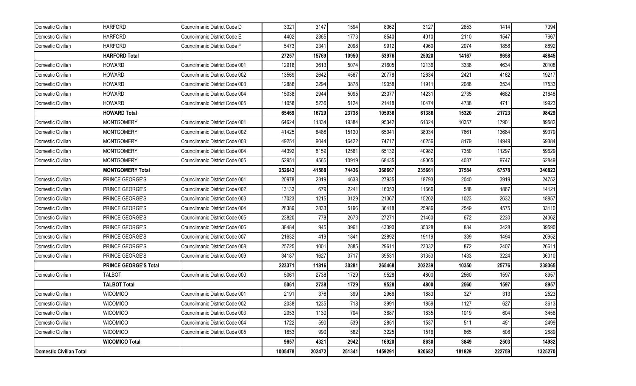| Domestic Civilian       | <b>HARFORD</b>               | Councilmanic District Code D   | 3321    | 3147   | 1594   | 8062    | 3127   | 2853   | 1414   | 7394    |
|-------------------------|------------------------------|--------------------------------|---------|--------|--------|---------|--------|--------|--------|---------|
| Domestic Civilian       | <b>HARFORD</b>               | Councilmanic District Code E   | 4402    | 2365   | 1773   | 8540    | 4010   | 2110   | 1547   | 7667    |
| Domestic Civilian       | <b>HARFORD</b>               | Councilmanic District Code F   | 5473    | 2341   | 2098   | 9912    | 4960   | 2074   | 1858   | 8892    |
|                         | <b>HARFORD Total</b>         |                                | 27257   | 15769  | 10950  | 53976   | 25020  | 14167  | 9658   | 48845   |
| Domestic Civilian       | <b>HOWARD</b>                | Councilmanic District Code 001 | 12918   | 3613   | 5074   | 21605   | 12136  | 3338   | 4634   | 20108   |
| Domestic Civilian       | <b>HOWARD</b>                | Councilmanic District Code 002 | 13569   | 2642   | 4567   | 20778   | 12634  | 2421   | 4162   | 19217   |
| Domestic Civilian       | <b>HOWARD</b>                | Councilmanic District Code 003 | 12886   | 2294   | 3878   | 19058   | 11911  | 2088   | 3534   | 17533   |
| Domestic Civilian       | <b>HOWARD</b>                | Councilmanic District Code 004 | 15038   | 2944   | 5095   | 23077   | 14231  | 2735   | 4682   | 21648   |
| Domestic Civilian       | <b>HOWARD</b>                | Councilmanic District Code 005 | 11058   | 5236   | 5124   | 21418   | 10474  | 4738   | 4711   | 19923   |
|                         | <b>HOWARD Total</b>          |                                | 65469   | 16729  | 23738  | 105936  | 61386  | 15320  | 21723  | 98429   |
| Domestic Civilian       | <b>MONTGOMERY</b>            | Councilmanic District Code 001 | 64624   | 11334  | 19384  | 95342   | 61324  | 10357  | 17901  | 89582   |
| Domestic Civilian       | <b>MONTGOMERY</b>            | Councilmanic District Code 002 | 41425   | 8486   | 15130  | 65041   | 38034  | 7661   | 13684  | 59379   |
| Domestic Civilian       | <b>MONTGOMERY</b>            | Councilmanic District Code 003 | 49251   | 9044   | 16422  | 74717   | 46256  | 8179   | 14949  | 69384   |
| Domestic Civilian       | MONTGOMERY                   | Councilmanic District Code 004 | 44392   | 8159   | 12581  | 65132   | 40982  | 7350   | 11297  | 59629   |
| Domestic Civilian       | <b>MONTGOMERY</b>            | Councilmanic District Code 005 | 52951   | 4565   | 10919  | 68435   | 49065  | 4037   | 9747   | 62849   |
|                         | <b>MONTGOMERY Total</b>      |                                | 252643  | 41588  | 74436  | 368667  | 235661 | 37584  | 67578  | 340823  |
| Domestic Civilian       | PRINCE GEORGE'S              | Councilmanic District Code 001 | 20978   | 2319   | 4638   | 27935   | 18793  | 2040   | 3919   | 24752   |
| Domestic Civilian       | PRINCE GEORGE'S              | Councilmanic District Code 002 | 13133   | 679    | 2241   | 16053   | 11666  | 588    | 1867   | 14121   |
| Domestic Civilian       | PRINCE GEORGE'S              | Councilmanic District Code 003 | 17023   | 1215   | 3129   | 21367   | 15202  | 1023   | 2632   | 18857   |
| Domestic Civilian       | PRINCE GEORGE'S              | Councilmanic District Code 004 | 28389   | 2833   | 5196   | 36418   | 25986  | 2549   | 4575   | 33110   |
| Domestic Civilian       | PRINCE GEORGE'S              | Councilmanic District Code 005 | 23820   | 778    | 2673   | 27271   | 21460  | 672    | 2230   | 24362   |
| Domestic Civilian       | PRINCE GEORGE'S              | Councilmanic District Code 006 | 38484   | 945    | 3961   | 43390   | 35328  | 834    | 3428   | 39590   |
| Domestic Civilian       | PRINCE GEORGE'S              | Councilmanic District Code 007 | 21632   | 419    | 1841   | 23892   | 19119  | 339    | 1494   | 20952   |
| Domestic Civilian       | PRINCE GEORGE'S              | Councilmanic District Code 008 | 25725   | 1001   | 2885   | 29611   | 23332  | 872    | 2407   | 26611   |
| Domestic Civilian       | PRINCE GEORGE'S              | Councilmanic District Code 009 | 34187   | 1627   | 3717   | 39531   | 31353  | 1433   | 3224   | 36010   |
|                         | <b>PRINCE GEORGE'S Total</b> |                                | 223371  | 11816  | 30281  | 265468  | 202239 | 10350  | 25776  | 238365  |
| Domestic Civilian       | <b>TALBOT</b>                | Councilmanic District Code 000 | 5061    | 2738   | 1729   | 9528    | 4800   | 2560   | 1597   | 8957    |
|                         | <b>TALBOT Total</b>          |                                | 5061    | 2738   | 1729   | 9528    | 4800   | 2560   | 1597   | 8957    |
| Domestic Civilian       | <b>WICOMICO</b>              | Councilmanic District Code 001 | 2191    | 376    | 399    | 2966    | 1883   | 327    | 313    | 2523    |
| Domestic Civilian       | <b>WICOMICO</b>              | Councilmanic District Code 002 | 2038    | 1235   | 718    | 3991    | 1859   | 1127   | 627    | 3613    |
| Domestic Civilian       | <b>WICOMICO</b>              | Councilmanic District Code 003 | 2053    | 1130   | 704    | 3887    | 1835   | 1019   | 604    | 3458    |
| Domestic Civilian       | <b>WICOMICO</b>              | Councilmanic District Code 004 | 1722    | 590    | 539    | 2851    | 1537   | 511    | 451    | 2499    |
| Domestic Civilian       | <b>WICOMICO</b>              | Councilmanic District Code 005 | 1653    | 990    | 582    | 3225    | 1516   | 865    | 508    | 2889    |
|                         | <b>WICOMICO Total</b>        |                                | 9657    | 4321   | 2942   | 16920   | 8630   | 3849   | 2503   | 14982   |
| Domestic Civilian Total |                              |                                | 1005478 | 202472 | 251341 | 1459291 | 920682 | 181829 | 222759 | 1325270 |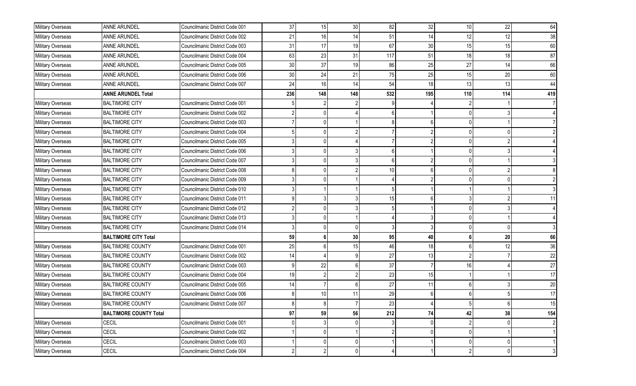| Military Overseas        | <b>ANNE ARUNDEL</b>           | Councilmanic District Code 001 | 37              | 15              | 30  | 82  | 32     | 10             | 22           | 64             |
|--------------------------|-------------------------------|--------------------------------|-----------------|-----------------|-----|-----|--------|----------------|--------------|----------------|
| Military Overseas        | ANNE ARUNDEL                  | Councilmanic District Code 002 | 21              | 16              | 14  | 51  | 14     | 12             | 12           | 38             |
| Military Overseas        | ANNE ARUNDEL                  | Councilmanic District Code 003 | 31              | 17              | 19  | 67  | $30\,$ | 15             | 15           | 60             |
| Military Overseas        | <b>ANNE ARUNDEL</b>           | Councilmanic District Code 004 | 63              | 23              | 31  | 117 | 51     | 18             | 18           | 87             |
| Military Overseas        | ANNE ARUNDEL                  | Councilmanic District Code 005 | 30              | 37              | 19  | 86  | 25     | 27             | 14           | 66             |
| Military Overseas        | ANNE ARUNDEL                  | Councilmanic District Code 006 | 30 <sup>°</sup> | 24              | 21  | 75  | 25     | 15             | 20           | 60             |
| Military Overseas        | ANNE ARUNDEL                  | Councilmanic District Code 007 | 24              | 16              | 14  | 54  | 18     | 13             | 13           | 44             |
|                          | <b>ANNE ARUNDEL Total</b>     |                                | 236             | 148             | 148 | 532 | 195    | 110            | 114          | 419            |
| Military Overseas        | <b>BALTIMORE CITY</b>         | Councilmanic District Code 001 |                 |                 |     |     |        |                |              |                |
| Military Overseas        | <b>BALTIMORE CITY</b>         | Councilmanic District Code 002 |                 |                 |     |     |        |                |              |                |
| Military Overseas        | <b>BALTIMORE CITY</b>         | Councilmanic District Code 003 |                 |                 |     |     |        |                |              |                |
| Military Overseas        | <b>BALTIMORE CITY</b>         | Councilmanic District Code 004 |                 |                 |     |     |        |                |              |                |
| Military Overseas        | <b>BALTIMORE CITY</b>         | Councilmanic District Code 005 |                 |                 |     |     |        |                |              |                |
| Military Overseas        | <b>BALTIMORE CITY</b>         | Councilmanic District Code 006 |                 |                 |     |     |        |                |              |                |
| Military Overseas        | <b>BALTIMORE CITY</b>         | Councilmanic District Code 007 |                 |                 |     |     |        |                |              |                |
| Military Overseas        | <b>BALTIMORE CITY</b>         | Councilmanic District Code 008 |                 |                 |     | 10  |        |                |              |                |
| Military Overseas        | <b>BALTIMORE CITY</b>         | Councilmanic District Code 009 |                 |                 |     |     |        |                |              |                |
| Military Overseas        | <b>BALTIMORE CITY</b>         | Councilmanic District Code 010 |                 |                 |     |     |        |                |              |                |
| Military Overseas        | <b>BALTIMORE CITY</b>         | Councilmanic District Code 011 |                 |                 |     | 15  |        |                |              | 11             |
| Military Overseas        | <b>BALTIMORE CITY</b>         | Councilmanic District Code 012 |                 |                 |     |     |        |                |              |                |
| Military Overseas        | <b>BALTIMORE CITY</b>         | Councilmanic District Code 013 |                 |                 |     |     |        |                |              |                |
| <b>Military Overseas</b> | <b>BALTIMORE CITY</b>         | Councilmanic District Code 014 |                 |                 |     |     |        |                |              |                |
|                          | <b>BALTIMORE CITY Total</b>   |                                | 59              |                 | 30  | 95  | 40     |                | 20           | 66             |
| Military Overseas        | <b>BALTIMORE COUNTY</b>       | Councilmanic District Code 001 | 25              |                 | 15  | 46  | 18     |                | 12           | 36             |
| Military Overseas        | <b>BALTIMORE COUNTY</b>       | Councilmanic District Code 002 | 14              |                 |     | 27  | 13     |                |              | 22             |
| Military Overseas        | <b>BALTIMORE COUNTY</b>       | Councilmanic District Code 003 |                 | 22              | 6   | 37  |        | 16             |              | 27             |
| Military Overseas        | <b>BALTIMORE COUNTY</b>       | Councilmanic District Code 004 | 19              |                 |     | 23  | 15     |                |              | 17             |
| Military Overseas        | <b>BALTIMORE COUNTY</b>       | Councilmanic District Code 005 | 14              |                 |     | 27  | 11     |                |              | 20             |
| Military Overseas        | <b>BALTIMORE COUNTY</b>       | Councilmanic District Code 006 |                 | 10 <sup>1</sup> | 11  | 29  |        |                |              | 17             |
| Military Overseas        | <b>BALTIMORE COUNTY</b>       | Councilmanic District Code 007 |                 |                 |     | 23  |        |                |              | 15             |
|                          | <b>BALTIMORE COUNTY Total</b> |                                | 97              | 59              | 56  | 212 | 74     | 42             | 38           | 154            |
| Military Overseas        | CECIL                         | Councilmanic District Code 001 |                 |                 |     | 3   |        |                |              | 2              |
| Military Overseas        | CECIL                         | Councilmanic District Code 002 |                 | 0               |     |     |        | $\Omega$       |              |                |
| Military Overseas        | CECIL                         | Councilmanic District Code 003 |                 | 0               | 0   |     |        | $\Omega$       |              |                |
| Military Overseas        | CECIL                         | Councilmanic District Code 004 |                 | 2               | 0   |     |        | $\overline{2}$ | $\mathbf{0}$ | 3 <sup>1</sup> |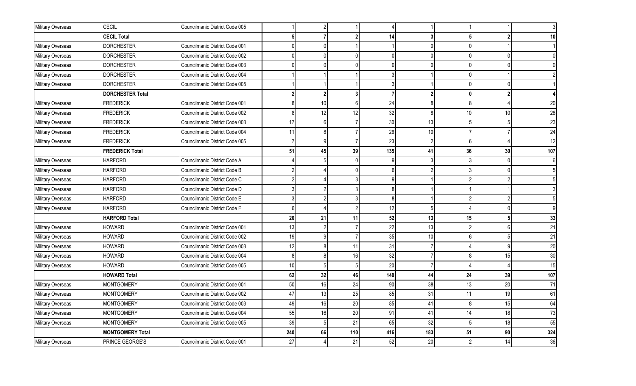| Military Overseas | <b>CECIL</b>            | Councilmanic District Code 005 |     | $\overline{2}$ |                |               |                |              |              |        |
|-------------------|-------------------------|--------------------------------|-----|----------------|----------------|---------------|----------------|--------------|--------------|--------|
|                   | <b>CECIL Total</b>      |                                |     |                |                | 14            | 3              |              |              | 10     |
| Military Overseas | <b>DORCHESTER</b>       | Councilmanic District Code 001 |     |                |                |               |                |              |              |        |
| Military Overseas | <b>DORCHESTER</b>       | Councilmanic District Code 002 |     | $\Omega$       | <sup>0</sup>   | $\Omega$      | $\Omega$       | ∩            | n            |        |
| Military Overseas | <b>DORCHESTER</b>       | Councilmanic District Code 003 |     | 0              | $\Omega$       | $\Omega$      | $\Omega$       | $\Omega$     | <sup>0</sup> |        |
| Military Overseas | <b>DORCHESTER</b>       | Councilmanic District Code 004 |     |                |                |               |                |              |              |        |
| Military Overseas | <b>DORCHESTER</b>       | Councilmanic District Code 005 |     |                |                |               |                |              |              |        |
|                   | <b>DORCHESTER Total</b> |                                |     | $\mathbf{2}$   | 3              |               | $\overline{2}$ | $\mathbf{0}$ |              |        |
| Military Overseas | <b>FREDERICK</b>        | Councilmanic District Code 001 |     | 10             | 6              | 24            | 8              | $\mathsf{R}$ |              | 20     |
| Military Overseas | <b>FREDERICK</b>        | Councilmanic District Code 002 | 8   | 12             | 12             | 32            | 8              | 10           | 10           | 28     |
| Military Overseas | <b>FREDERICK</b>        | Councilmanic District Code 003 | 17  | 6              |                | 30            | 13             |              |              | 23     |
| Military Overseas | <b>FREDERICK</b>        | Councilmanic District Code 004 | 11  | 8              |                | 26            | 10             |              |              | 24     |
| Military Overseas | <b>FREDERICK</b>        | Councilmanic District Code 005 |     | $\overline{9}$ | $\overline{7}$ | 23            | $\mathcal{P}$  | 6            |              | 12     |
|                   | <b>FREDERICK Total</b>  |                                | 51  | 45             | 39             | 135           | 41             | 36           | 30           | 107    |
| Military Overseas | <b>HARFORD</b>          | Councilmanic District Code A   |     | 5              | <sup>0</sup>   | q             | 3              |              | $\Omega$     |        |
| Military Overseas | <b>HARFORD</b>          | Councilmanic District Code B   |     |                |                |               | $\mathfrak{p}$ |              | <sup>0</sup> |        |
| Military Overseas | <b>HARFORD</b>          | Councilmanic District Code C   |     |                |                |               |                |              |              |        |
| Military Overseas | <b>HARFORD</b>          | Councilmanic District Code D   |     | 2              | 3              | 8             |                |              |              |        |
| Military Overseas | <b>HARFORD</b>          | Councilmanic District Code E   |     |                |                | $\mathsf{\ }$ |                |              |              |        |
| Military Overseas | <b>HARFORD</b>          | Councilmanic District Code F   | 6   |                | $\mathfrak{p}$ | 12            | 5              |              | $\Omega$     |        |
|                   | <b>HARFORD Total</b>    |                                | 20  | 21             | 11             | 52            | 13             | 15           | 5            | 33     |
| Military Overseas | <b>HOWARD</b>           | Councilmanic District Code 001 | 13  | $\overline{2}$ |                | 22            | 13             |              | 6            | 21     |
| Military Overseas | <b>HOWARD</b>           | Councilmanic District Code 002 | 19  | $\overline{9}$ |                | 35            | 10             | 6            |              | 21     |
| Military Overseas | <b>HOWARD</b>           | Councilmanic District Code 003 | 12  | 8              | 11             | 31            | -7             |              | a            | $20\,$ |
| Military Overseas | <b>HOWARD</b>           | Councilmanic District Code 004 | 8   | 8              | 16             | 32            | 7              |              | 15           | 30     |
| Military Overseas | <b>HOWARD</b>           | Councilmanic District Code 005 | 10  | 5              |                | 20            | $\overline{7}$ |              |              | 15     |
|                   | <b>HOWARD Total</b>     |                                | 62  | 32             | 46             | 140           | 44             | 24           | 39           | 107    |
| Military Overseas | <b>MONTGOMERY</b>       | Councilmanic District Code 001 | 50  | 16             | 24             | 90            | 38             | 13           | 20           | 71     |
| Military Overseas | <b>MONTGOMERY</b>       | Councilmanic District Code 002 | 47  | 13             | 25             | 85            | 31             | 11           | 19           | 61     |
| Military Overseas | <b>MONTGOMERY</b>       | Councilmanic District Code 003 | 49  | 16             | 20             | 85            | 41             | 8            | 15           | 64     |
| Military Overseas | <b>MONTGOMERY</b>       | Councilmanic District Code 004 | 55  | 16             | 20             | 91            | 41             | 14           | 18           | 73     |
| Military Overseas | <b>MONTGOMERY</b>       | Councilmanic District Code 005 | 39  | 5              | 21             | 65            | 32             |              | 18           | 55     |
|                   | <b>MONTGOMERY Total</b> |                                | 240 | 66             | 110            | 416           | 183            | 51           | 90           | 324    |
| Military Overseas | PRINCE GEORGE'S         | Councilmanic District Code 001 | 27  |                | 21             | 52            | 20             |              | 14           | 36     |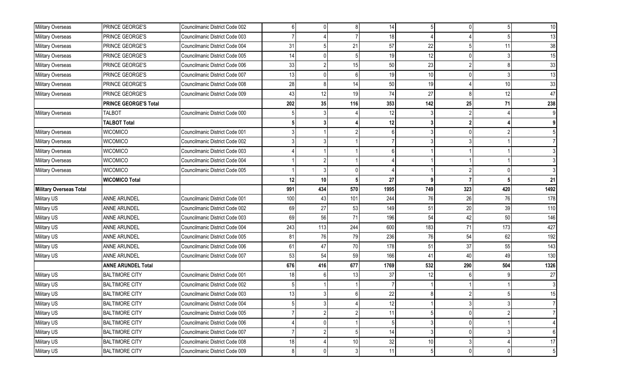| Military Overseas       | PRINCE GEORGE'S              | Councilmanic District Code 002 | 6   |     | 8   | 14   |      |             |              | 10 <sup>1</sup> |
|-------------------------|------------------------------|--------------------------------|-----|-----|-----|------|------|-------------|--------------|-----------------|
| Military Overseas       | PRINCE GEORGE'S              | Councilmanic District Code 003 |     |     |     | 18   |      |             |              | 13              |
| Military Overseas       | PRINCE GEORGE'S              | Councilmanic District Code 004 | 31  |     | 21  | 57   | 22   |             | 11           | 38              |
| Military Overseas       | PRINCE GEORGE'S              | Councilmanic District Code 005 | 14  |     |     | 19   | 12   |             |              | 15              |
| Military Overseas       | PRINCE GEORGE'S              | Councilmanic District Code 006 | 33  |     | 15  | 50   | 23   |             |              | 33              |
| Military Overseas       | PRINCE GEORGE'S              | Councilmanic District Code 007 | 13  |     |     | 19   | $10$ |             |              | 13              |
| Military Overseas       | PRINCE GEORGE'S              | Councilmanic District Code 008 | 28  |     | 14  | 50   | 19   |             | 10           | 33              |
| Military Overseas       | PRINCE GEORGE'S              | Councilmanic District Code 009 | 43  | 12  | 19  | 74   | 27   |             | 12           | 47              |
|                         | <b>PRINCE GEORGE'S Total</b> |                                | 202 | 35  | 116 | 353  | 142  | 25          | 71           | 238             |
| Military Overseas       | <b>TALBOT</b>                | Councilmanic District Code 000 |     |     |     | 12   |      |             |              |                 |
|                         | <b>TALBOT Total</b>          |                                |     |     |     | 12   |      |             |              |                 |
| Military Overseas       | <b>WICOMICO</b>              | Councilmanic District Code 001 |     |     |     |      |      |             |              |                 |
| Military Overseas       | <b>WICOMICO</b>              | Councilmanic District Code 002 |     |     |     |      |      |             |              |                 |
| Military Overseas       | <b>WICOMICO</b>              | Councilmanic District Code 003 |     |     |     |      |      |             |              |                 |
| Military Overseas       | <b>WICOMICO</b>              | Councilmanic District Code 004 |     |     |     |      |      |             |              |                 |
| Military Overseas       | <b>WICOMICO</b>              | Councilmanic District Code 005 |     |     |     |      |      |             |              |                 |
|                         | <b>WICOMICO Total</b>        |                                | 12  | 10  |     | 27   | 9    |             |              | 21              |
| Military Overseas Total |                              |                                | 991 | 434 | 570 | 1995 | 749  | 323         | 420          | 1492            |
| Military US             | ANNE ARUNDEL                 | Councilmanic District Code 001 | 100 | 43  | 101 | 244  | 76   | 26          | 76           | 178             |
| Military US             | <b>ANNE ARUNDEL</b>          | Councilmanic District Code 002 | 69  | 27  | 53  | 149  | 51   | 20          | 39           | 110             |
| Military US             | ANNE ARUNDEL                 | Councilmanic District Code 003 | 69  | 56  | 71  | 196  | 54   | 42          | 50           | 146             |
| Military US             | <b>ANNE ARUNDEL</b>          | Councilmanic District Code 004 | 243 | 113 | 244 | 600  | 183  | 71          | 173          | 427             |
| Military US             | ANNE ARUNDEL                 | Councilmanic District Code 005 | 81  | 76  | 79  | 236  | 76   | 54          | 62           | 192             |
| Military US             | <b>ANNE ARUNDEL</b>          | Councilmanic District Code 006 | 61  | 47  | 70  | 178  | 51   | 37          | 55           | 143             |
| Military US             | ANNE ARUNDEL                 | Councilmanic District Code 007 | 53  | 54  | 59  | 166  | 41   | 40          | 49           | 130             |
|                         | <b>ANNE ARUNDEL Total</b>    |                                | 676 | 416 | 677 | 1769 | 532  | 290         | 504          | 1326            |
| Military US             | <b>BALTIMORE CITY</b>        | Councilmanic District Code 001 | 18  | 6   | 13  | 37   | 12   |             |              | 27              |
| Military US             | <b>BALTIMORE CITY</b>        | Councilmanic District Code 002 |     |     |     |      |      |             |              |                 |
| Military US             | <b>BALTIMORE CITY</b>        | Councilmanic District Code 003 | 13  |     |     | 22   |      |             |              | 15              |
| Military US             | <b>BALTIMORE CITY</b>        | Councilmanic District Code 004 |     |     |     | 12   |      |             |              |                 |
| Military US             | <b>BALTIMORE CITY</b>        | Councilmanic District Code 005 |     |     |     | 11   |      |             |              |                 |
| Military US             | <b>BALTIMORE CITY</b>        | Councilmanic District Code 006 |     |     |     |      |      |             |              |                 |
| Military US             | <b>BALTIMORE CITY</b>        | Councilmanic District Code 007 |     |     | 5   | 14   | 3    |             |              | 6               |
| Military US             | <b>BALTIMORE CITY</b>        | Councilmanic District Code 008 | 18  |     | 10  | 32   | 10   |             |              | 17              |
| Military US             | <b>BALTIMORE CITY</b>        | Councilmanic District Code 009 |     | 0   | 3   | 11   |      | $\mathbf 0$ | $\mathbf{0}$ | 5 <sup>1</sup>  |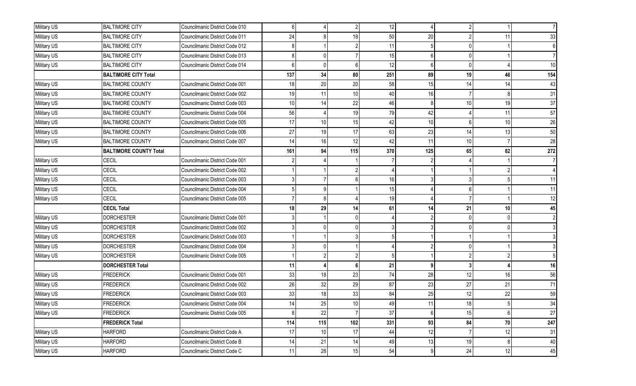| Military US | <b>BALTIMORE CITY</b>         | Councilmanic District Code 010 |     |                 |     | 12  |                | $\mathfrak{p}$ |                 |                 |
|-------------|-------------------------------|--------------------------------|-----|-----------------|-----|-----|----------------|----------------|-----------------|-----------------|
| Military US | <b>BALTIMORE CITY</b>         | Councilmanic District Code 011 | 24  |                 | 18  | 50  | 20             |                | 11.             | 33              |
| Military US | <b>BALTIMORE CITY</b>         | Councilmanic District Code 012 |     |                 |     | 11  |                | 0              |                 |                 |
| Military US | <b>BALTIMORE CITY</b>         | Councilmanic District Code 013 |     |                 |     | 15  | 6              | 0              |                 |                 |
| Military US | <b>BALTIMORE CITY</b>         | Councilmanic District Code 014 |     |                 |     | 12  | 6              | <sup>0</sup>   |                 | 10 <sup>1</sup> |
|             | <b>BALTIMORE CITY Total</b>   |                                | 137 | 34              | 80  | 251 | 89             | 19             | 46              | 154             |
| Military US | <b>BALTIMORE COUNTY</b>       | Councilmanic District Code 001 | 18  | 20              | 20  | 58  | 15             | 14             | 14              | 43              |
| Military US | <b>BALTIMORE COUNTY</b>       | Councilmanic District Code 002 | 19  | 11              | 10  | 40  | 16             |                |                 | 31              |
| Military US | <b>BALTIMORE COUNTY</b>       | Councilmanic District Code 003 | 10  | 14              | 22  | 46  | 8              | 10             | 19              | $37\,$          |
| Military US | <b>BALTIMORE COUNTY</b>       | Councilmanic District Code 004 | 56  |                 | 19  | 79  | 42             |                | 11              | 57              |
| Military US | <b>BALTIMORE COUNTY</b>       | Councilmanic District Code 005 | 17  | 10              | 15  | 42  | 10             | 6              | 10 <sup>1</sup> | 26              |
| Military US | <b>BALTIMORE COUNTY</b>       | Councilmanic District Code 006 | 27  | 19              | 17  | 63  | 23             | 14             | 13              | 50              |
| Military US | <b>BALTIMORE COUNTY</b>       | Councilmanic District Code 007 | 14  | 16              | 12  | 42  | 11             | 10             |                 | 28              |
|             | <b>BALTIMORE COUNTY Total</b> |                                | 161 | 94              | 115 | 370 | 125            | 65             | 82              | 272             |
| Military US | <b>CECIL</b>                  | Councilmanic District Code 001 |     |                 |     |     |                |                |                 |                 |
| Military US | CECIL                         | Councilmanic District Code 002 |     |                 |     |     |                |                |                 |                 |
| Military US | <b>CECIL</b>                  | Councilmanic District Code 003 |     |                 |     | 16  |                |                |                 | 11              |
| Military US | <b>CECIL</b>                  | Councilmanic District Code 004 |     |                 |     | 15  |                |                |                 | 11              |
| Military US | CECIL                         | Councilmanic District Code 005 |     |                 |     | 19  |                |                |                 | 12              |
|             | <b>CECIL Total</b>            |                                | 18  | 29              | 14  | 61  | 14             | 21             | 10              | 45              |
| Military US | <b>DORCHESTER</b>             | Councilmanic District Code 001 |     |                 |     |     |                |                |                 |                 |
| Military US | <b>DORCHESTER</b>             | Councilmanic District Code 002 |     |                 |     |     |                | 0              |                 |                 |
| Military US | <b>DORCHESTER</b>             | Councilmanic District Code 003 |     |                 |     |     |                |                |                 |                 |
| Military US | <b>DORCHESTER</b>             | Councilmanic District Code 004 |     |                 |     |     |                |                |                 |                 |
| Military US | <b>DORCHESTER</b>             | Councilmanic District Code 005 |     |                 |     |     |                |                |                 |                 |
|             | <b>DORCHESTER Total</b>       |                                | 11  |                 |     | 21  | 9              |                |                 | 16              |
| Military US | <b>FREDERICK</b>              | Councilmanic District Code 001 | 33  | 18              | 23  | 74  | 28             | 12             | 16              | 56              |
| Military US | <b>FREDERICK</b>              | Councilmanic District Code 002 | 26  | 32              | 29  | 87  | 23             | 27             | 21              | 71              |
| Military US | <b>FREDERICK</b>              | Councilmanic District Code 003 | 33  | 18              | 33  | 84  | 25             | 12             | 22              | 59              |
| Military US | <b>FREDERICK</b>              | Councilmanic District Code 004 | 14  | 25              | 10  | 49  | 11             | 18             |                 | 34              |
| Military US | <b>FREDERICK</b>              | Councilmanic District Code 005 |     | 22              |     | 37  | 6 <sup>1</sup> | 15             | 6               | 27              |
|             | <b>FREDERICK Total</b>        |                                | 114 | 115             | 102 | 331 | 93             | 84             | 70              | ${\bf 247}$     |
| Military US | <b>HARFORD</b>                | Councilmanic District Code A   | 17  | 10 <sup>1</sup> | 17  | 44  | 12             |                | 12              | 31              |
| Military US | <b>HARFORD</b>                | Councilmanic District Code B   | 14  | 21              | 14  | 49  | 13             | 19             | 8               | 40              |
| Military US | <b>HARFORD</b>                | Councilmanic District Code C   | 11  | 28              | 15  | 54  | 9              | 24             | 12              | 45              |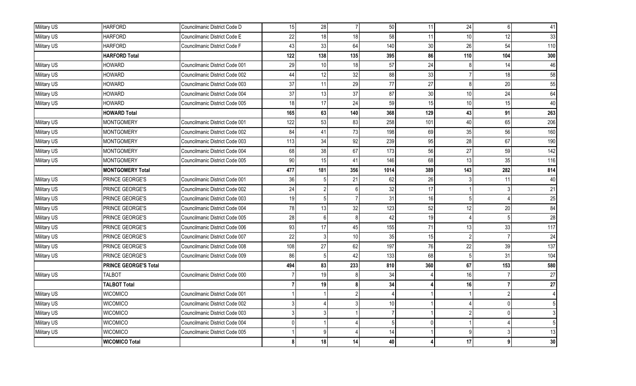| Military US | <b>HARFORD</b>               | Councilmanic District Code D   | 15  | 28              | 7              | 50   | 11       | 24  | $\mathsf{6}$ | 41  |
|-------------|------------------------------|--------------------------------|-----|-----------------|----------------|------|----------|-----|--------------|-----|
| Military US | <b>HARFORD</b>               | Councilmanic District Code E   | 22  | 18              | 18             | 58   | 11       | 10  | 12           | 33  |
| Military US | <b>HARFORD</b>               | Councilmanic District Code F   | 43  | 33              | 64             | 140  | 30       | 26  | 54           | 110 |
|             | <b>HARFORD Total</b>         |                                | 122 | 138             | 135            | 395  | 86       | 110 | 104          | 300 |
| Military US | HOWARD                       | Councilmanic District Code 001 | 29  | 10 <sup>1</sup> | 18             | 57   | 24       |     | 14           | 46  |
| Military US | <b>HOWARD</b>                | Councilmanic District Code 002 | 44  | 12              | 32             | 88   | 33       |     | 18           | 58  |
| Military US | HOWARD                       | Councilmanic District Code 003 | 37  | 11              | 29             | 77   | 27       | 8   | 20           | 55  |
| Military US | <b>HOWARD</b>                | Councilmanic District Code 004 | 37  | 13              | 37             | 87   | 30       | 10  | 24           | 64  |
| Military US | <b>HOWARD</b>                | Councilmanic District Code 005 | 18  | 17              | 24             | 59   | 15       | 10  | 15           | 40  |
|             | <b>HOWARD Total</b>          |                                | 165 | 63              | 140            | 368  | 129      | 43  | 91           | 263 |
| Military US | <b>MONTGOMERY</b>            | Councilmanic District Code 001 | 122 | 53              | 83             | 258  | 101      | 40  | 65           | 206 |
| Military US | <b>MONTGOMERY</b>            | Councilmanic District Code 002 | 84  | 41              | 73             | 198  | 69       | 35  | 56           | 160 |
| Military US | <b>MONTGOMERY</b>            | Councilmanic District Code 003 | 113 | 34              | 92             | 239  | 95       | 28  | 67           | 190 |
| Military US | <b>MONTGOMERY</b>            | Councilmanic District Code 004 | 68  | 38              | 67             | 173  | 56       | 27  | 59           | 142 |
| Military US | <b>MONTGOMERY</b>            | Councilmanic District Code 005 | 90  | 15              | 41             | 146  | 68       | 13  | 35           | 116 |
|             | <b>MONTGOMERY Total</b>      |                                | 477 | 181             | 356            | 1014 | 389      | 143 | 282          | 814 |
| Military US | PRINCE GEORGE'S              | Councilmanic District Code 001 | 36  | 5               | 21             | 62   | 26       |     | 11           | 40  |
| Military US | PRINCE GEORGE'S              | Councilmanic District Code 002 | 24  | $\overline{2}$  | 6 <sup>1</sup> | 32   | 17       |     |              | 21  |
| Military US | PRINCE GEORGE'S              | Councilmanic District Code 003 | 19  | 5               |                | 31   | 16       |     |              | 25  |
| Military US | PRINCE GEORGE'S              | Councilmanic District Code 004 | 78  | 13              | 32             | 123  | 52       | 12  | 20           | 84  |
| Military US | PRINCE GEORGE'S              | Councilmanic District Code 005 | 28  | $6 \mid$        |                | 42   | 19       |     |              | 28  |
| Military US | PRINCE GEORGE'S              | Councilmanic District Code 006 | 93  | 17              | 45             | 155  | 71       | 13  | 33           | 117 |
| Military US | PRINCE GEORGE'S              | Councilmanic District Code 007 | 22  | 3               | 10             | 35   | 15       |     |              | 24  |
| Military US | PRINCE GEORGE'S              | Councilmanic District Code 008 | 108 | 27              | 62             | 197  | 76       | 22  | 39           | 137 |
| Military US | PRINCE GEORGE'S              | Councilmanic District Code 009 | 86  | 5               | 42             | 133  | 68       | 5   | 31           | 104 |
|             | <b>PRINCE GEORGE'S Total</b> |                                | 494 | 83              | 233            | 810  | 360      | 67  | 153          | 580 |
| Military US | <b>TALBOT</b>                | Councilmanic District Code 000 |     | 19              |                | 34   |          | 16  |              | 27  |
|             | <b>TALBOT Total</b>          |                                |     | 19              | ጸ              | 34   |          | 16  |              | 27  |
| Military US | <b>WICOMICO</b>              | Councilmanic District Code 001 |     |                 | 2              |      |          |     |              |     |
| Military US | <b>WICOMICO</b>              | Councilmanic District Code 002 |     | 4               | 3              | 10   |          |     | <sup>0</sup> |     |
| Military US | <b>WICOMICO</b>              | Councilmanic District Code 003 |     | 3               |                |      |          |     |              |     |
| Military US | <b>WICOMICO</b>              | Councilmanic District Code 004 |     |                 |                |      | $\Omega$ |     |              | 5   |
| Military US | <b>WICOMICO</b>              | Councilmanic District Code 005 |     | 9               |                | 14   |          | q   |              | 13  |
|             | <b>WICOMICO Total</b>        |                                |     | 18              | 14             | 40   |          | 17  |              | 30  |